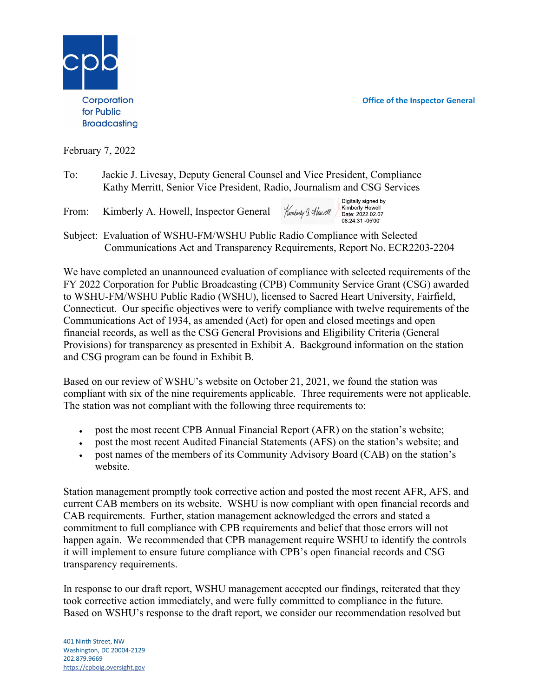Office of the Inspector General

Digitally signed by

Kimberly Howell Date: 2022.02.07 08:24:31 -05'00"



February 7, 2022

- To: Jackie J. Livesay, Deputy General Counsel and Vice President, Compliance Kathy Merritt, Senior Vice President, Radio, Journalism and CSG Services
- Kimberly G. Howell From: Kimberly A. Howell, Inspector General
- Subject: Evaluation of WSHU-FM/WSHU Public Radio Compliance with Selected Communications Act and Transparency Requirements, Report No. ECR2203-2204

We have completed an unannounced evaluation of compliance with selected requirements of the FY 2022 Corporation for Public Broadcasting (CPB) Community Service Grant (CSG) awarded to WSHU-FM/WSHU Public Radio (WSHU), licensed to Sacred Heart University, Fairfield, Connecticut. Our specific objectives were to verify compliance with twelve requirements of the Communications Act of 1934, as amended (Act) for open and closed meetings and open financial records, as well as the CSG General Provisions and Eligibility Criteria (General Provisions) for transparency as presented in Exhibit A. Background information on the station and CSG program can be found in Exhibit B.

Based on our review of WSHU's website on October 21, 2021, we found the station was compliant with six of the nine requirements applicable. Three requirements were not applicable. The station was not compliant with the following three requirements to:

- post the most recent CPB Annual Financial Report (AFR) on the station's website;
- post the most recent Audited Financial Statements (AFS) on the station's website; and  $\bullet$
- post names of the members of its Community Advisory Board (CAB) on the station's website.

Station management promptly took corrective action and posted the most recent AFR, AFS, and current CAB members on its website. WSHU is now compliant with open financial records and CAB requirements. Further, station management acknowledged the errors and stated a commitment to full compliance with CPB requirements and belief that those errors will not happen again. We recommended that CPB management require WSHU to identify the controls it will implement to ensure future compliance with CPB's open financial records and CSG transparency requirements.

In response to our draft report, WSHU management accepted our findings, reiterated that they took corrective action immediately, and were fully committed to compliance in the future. Based on WSHU's response to the draft report, we consider our recommendation resolved but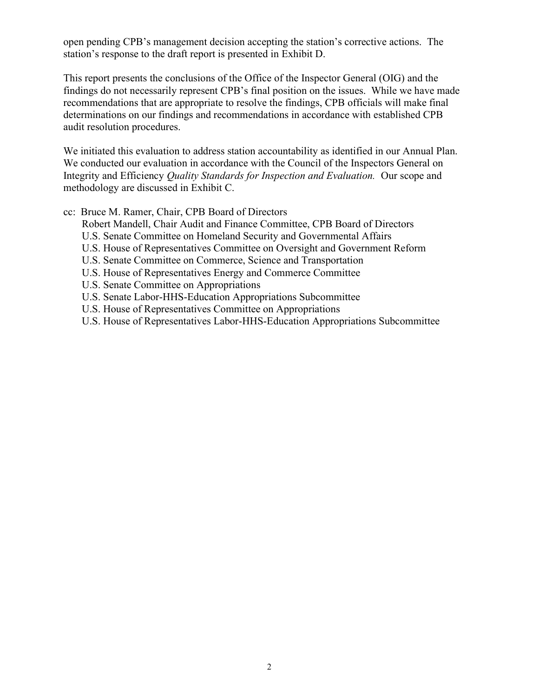open pending CPB's management decision accepting the station's corrective actions. The station's response to the draft report is presented in Exhibit D.

This report presents the conclusions of the Office of the Inspector General (OIG) and the findings do not necessarily represent CPB's final position on the issues. While we have made recommendations that are appropriate to resolve the findings, CPB officials will make final determinations on our findings and recommendations in accordance with established CPB audit resolution procedures.

We initiated this evaluation to address station accountability as identified in our Annual Plan. We conducted our evaluation in accordance with the Council of the Inspectors General on Integrity and Efficiency Quality Standards for Inspection and Evaluation. Our scope and methodology are discussed in Exhibit C.

#### cc: Bruce M. Ramer, Chair, CPB Board of Directors

Robert Mandell, Chair Audit and Finance Committee, CPB Board of Directors

- U.S. Senate Committee on Homeland Security and Governmental Affairs
- U.S. House of Representatives Committee on Oversight and Government Reform
- U.S. Senate Committee on Commerce, Science and Transportation
- U.S. House of Representatives Energy and Commerce Committee
- U.S. Senate Committee on Appropriations
- U.S. Senate Labor-HHS-Education Appropriations Subcommittee
- U.S. House of Representatives Committee on Appropriations
- U.S. House of Representatives Labor-HHS-Education Appropriations Subcommittee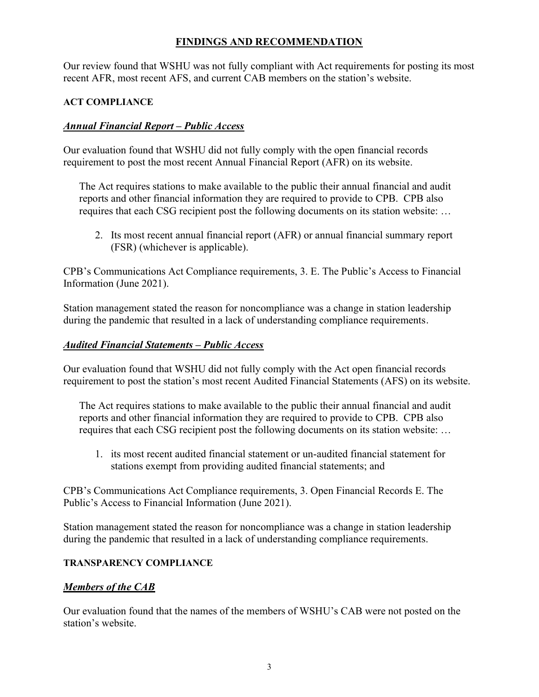### FINDINGS AND RECOMMENDATION

Our review found that WSHU was not fully compliant with Act requirements for posting its most recent AFR, most recent AFS, and current CAB members on the station's website.

#### ACT COMPLIANCE

## Annual Financial Report – Public Access

Our evaluation found that WSHU did not fully comply with the open financial records requirement to post the most recent Annual Financial Report (AFR) on its website.

The Act requires stations to make available to the public their annual financial and audit reports and other financial information they are required to provide to CPB. CPB also requires that each CSG recipient post the following documents on its station website: …

2. Its most recent annual financial report (AFR) or annual financial summary report (FSR) (whichever is applicable).

CPB's Communications Act Compliance requirements, 3. E. The Public's Access to Financial Information (June 2021).

Station management stated the reason for noncompliance was a change in station leadership during the pandemic that resulted in a lack of understanding compliance requirements.

### Audited Financial Statements – Public Access

Our evaluation found that WSHU did not fully comply with the Act open financial records requirement to post the station's most recent Audited Financial Statements (AFS) on its website.

The Act requires stations to make available to the public their annual financial and audit reports and other financial information they are required to provide to CPB. CPB also requires that each CSG recipient post the following documents on its station website: …

1. its most recent audited financial statement or un-audited financial statement for stations exempt from providing audited financial statements; and

CPB's Communications Act Compliance requirements, 3. Open Financial Records E. The Public's Access to Financial Information (June 2021).

Station management stated the reason for noncompliance was a change in station leadership during the pandemic that resulted in a lack of understanding compliance requirements.

#### TRANSPARENCY COMPLIANCE

#### Members of the CAB

Our evaluation found that the names of the members of WSHU's CAB were not posted on the station's website.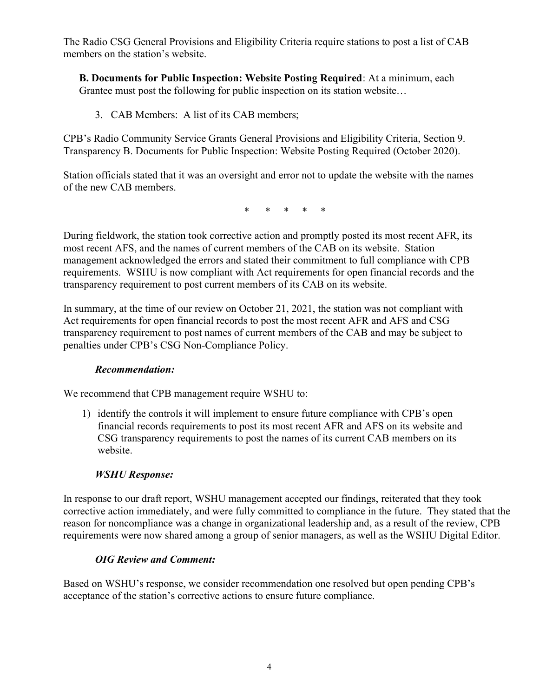The Radio CSG General Provisions and Eligibility Criteria require stations to post a list of CAB members on the station's website.

B. Documents for Public Inspection: Website Posting Required: At a minimum, each Grantee must post the following for public inspection on its station website…

3. CAB Members: A list of its CAB members;

CPB's Radio Community Service Grants General Provisions and Eligibility Criteria, Section 9. Transparency B. Documents for Public Inspection: Website Posting Required (October 2020).

Station officials stated that it was an oversight and error not to update the website with the names of the new CAB members.

\* \* \* \* \*

During fieldwork, the station took corrective action and promptly posted its most recent AFR, its most recent AFS, and the names of current members of the CAB on its website. Station management acknowledged the errors and stated their commitment to full compliance with CPB requirements. WSHU is now compliant with Act requirements for open financial records and the transparency requirement to post current members of its CAB on its website.

In summary, at the time of our review on October 21, 2021, the station was not compliant with Act requirements for open financial records to post the most recent AFR and AFS and CSG transparency requirement to post names of current members of the CAB and may be subject to penalties under CPB's CSG Non-Compliance Policy.

#### Recommendation:

We recommend that CPB management require WSHU to:

1) identify the controls it will implement to ensure future compliance with CPB's open financial records requirements to post its most recent AFR and AFS on its website and CSG transparency requirements to post the names of its current CAB members on its website.

#### WSHU Response:

In response to our draft report, WSHU management accepted our findings, reiterated that they took corrective action immediately, and were fully committed to compliance in the future. They stated that the reason for noncompliance was a change in organizational leadership and, as a result of the review, CPB requirements were now shared among a group of senior managers, as well as the WSHU Digital Editor.

#### OIG Review and Comment:

Based on WSHU's response, we consider recommendation one resolved but open pending CPB's acceptance of the station's corrective actions to ensure future compliance.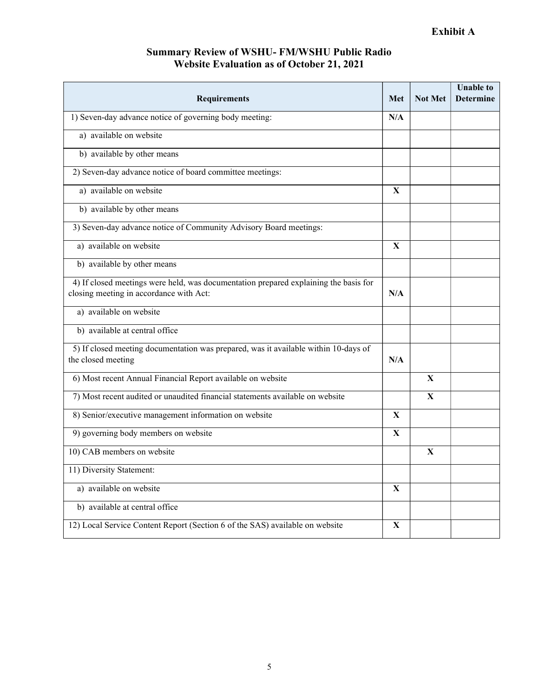# Summary Review of WSHU- FM/WSHU Public Radio Website Evaluation as of October 21, 2021

| Requirements                                                                                                                    | <b>Met</b>   | <b>Not Met</b> | <b>Unable to</b><br><b>Determine</b> |
|---------------------------------------------------------------------------------------------------------------------------------|--------------|----------------|--------------------------------------|
| 1) Seven-day advance notice of governing body meeting:                                                                          | N/A          |                |                                      |
| a) available on website                                                                                                         |              |                |                                      |
| b) available by other means                                                                                                     |              |                |                                      |
| 2) Seven-day advance notice of board committee meetings:                                                                        |              |                |                                      |
| a) available on website                                                                                                         | X            |                |                                      |
| b) available by other means                                                                                                     |              |                |                                      |
| 3) Seven-day advance notice of Community Advisory Board meetings:                                                               |              |                |                                      |
| a) available on website                                                                                                         | $\mathbf{X}$ |                |                                      |
| b) available by other means                                                                                                     |              |                |                                      |
| 4) If closed meetings were held, was documentation prepared explaining the basis for<br>closing meeting in accordance with Act: | N/A          |                |                                      |
| a) available on website                                                                                                         |              |                |                                      |
| b) available at central office                                                                                                  |              |                |                                      |
| 5) If closed meeting documentation was prepared, was it available within 10-days of<br>the closed meeting                       | N/A          |                |                                      |
| 6) Most recent Annual Financial Report available on website                                                                     |              | $\mathbf{X}$   |                                      |
| 7) Most recent audited or unaudited financial statements available on website                                                   |              | $\mathbf{X}$   |                                      |
| 8) Senior/executive management information on website                                                                           | $\mathbf{X}$ |                |                                      |
| 9) governing body members on website                                                                                            | $\mathbf{X}$ |                |                                      |
| 10) CAB members on website                                                                                                      |              | $\mathbf{X}$   |                                      |
| 11) Diversity Statement:                                                                                                        |              |                |                                      |
| a) available on website                                                                                                         | $\mathbf{X}$ |                |                                      |
| b) available at central office                                                                                                  |              |                |                                      |
| 12) Local Service Content Report (Section 6 of the SAS) available on website                                                    | $\mathbf{X}$ |                |                                      |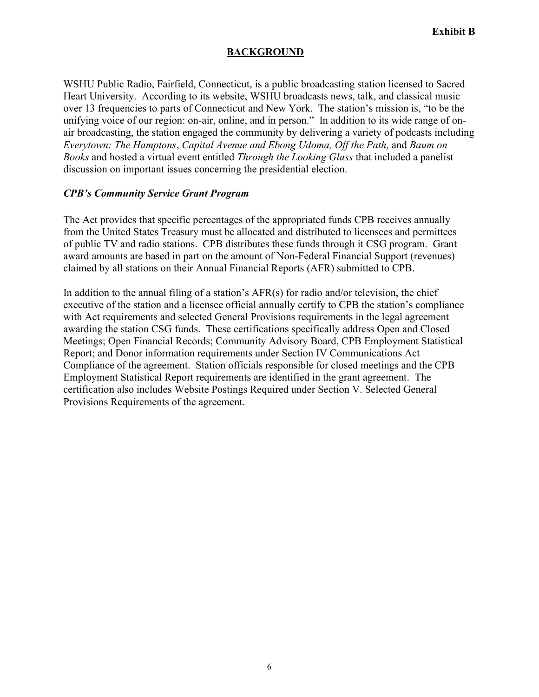#### BACKGROUND

WSHU Public Radio, Fairfield, Connecticut, is a public broadcasting station licensed to Sacred Heart University. According to its website, WSHU broadcasts news, talk, and classical music over 13 frequencies to parts of Connecticut and New York. The station's mission is, "to be the unifying voice of our region: on-air, online, and in person." In addition to its wide range of onair broadcasting, the station engaged the community by delivering a variety of podcasts including Everytown: The Hamptons, Capital Avenue and Ebong Udoma, Off the Path, and Baum on Books and hosted a virtual event entitled Through the Looking Glass that included a panelist discussion on important issues concerning the presidential election.

#### CPB's Community Service Grant Program

The Act provides that specific percentages of the appropriated funds CPB receives annually from the United States Treasury must be allocated and distributed to licensees and permittees of public TV and radio stations. CPB distributes these funds through it CSG program. Grant award amounts are based in part on the amount of Non-Federal Financial Support (revenues) claimed by all stations on their Annual Financial Reports (AFR) submitted to CPB.

In addition to the annual filing of a station's AFR(s) for radio and/or television, the chief executive of the station and a licensee official annually certify to CPB the station's compliance with Act requirements and selected General Provisions requirements in the legal agreement awarding the station CSG funds. These certifications specifically address Open and Closed Meetings; Open Financial Records; Community Advisory Board, CPB Employment Statistical Report; and Donor information requirements under Section IV Communications Act Compliance of the agreement. Station officials responsible for closed meetings and the CPB Employment Statistical Report requirements are identified in the grant agreement. The certification also includes Website Postings Required under Section V. Selected General Provisions Requirements of the agreement.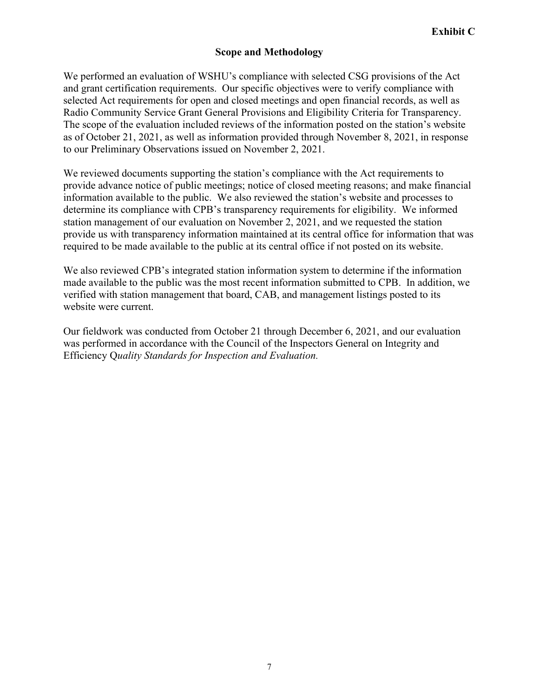#### Scope and Methodology

We performed an evaluation of WSHU's compliance with selected CSG provisions of the Act and grant certification requirements. Our specific objectives were to verify compliance with selected Act requirements for open and closed meetings and open financial records, as well as Radio Community Service Grant General Provisions and Eligibility Criteria for Transparency. The scope of the evaluation included reviews of the information posted on the station's website as of October 21, 2021, as well as information provided through November 8, 2021, in response to our Preliminary Observations issued on November 2, 2021.

We reviewed documents supporting the station's compliance with the Act requirements to provide advance notice of public meetings; notice of closed meeting reasons; and make financial information available to the public. We also reviewed the station's website and processes to determine its compliance with CPB's transparency requirements for eligibility. We informed station management of our evaluation on November 2, 2021, and we requested the station provide us with transparency information maintained at its central office for information that was required to be made available to the public at its central office if not posted on its website.

We also reviewed CPB's integrated station information system to determine if the information made available to the public was the most recent information submitted to CPB. In addition, we verified with station management that board, CAB, and management listings posted to its website were current.

Our fieldwork was conducted from October 21 through December 6, 2021, and our evaluation was performed in accordance with the Council of the Inspectors General on Integrity and Efficiency Quality Standards for Inspection and Evaluation.